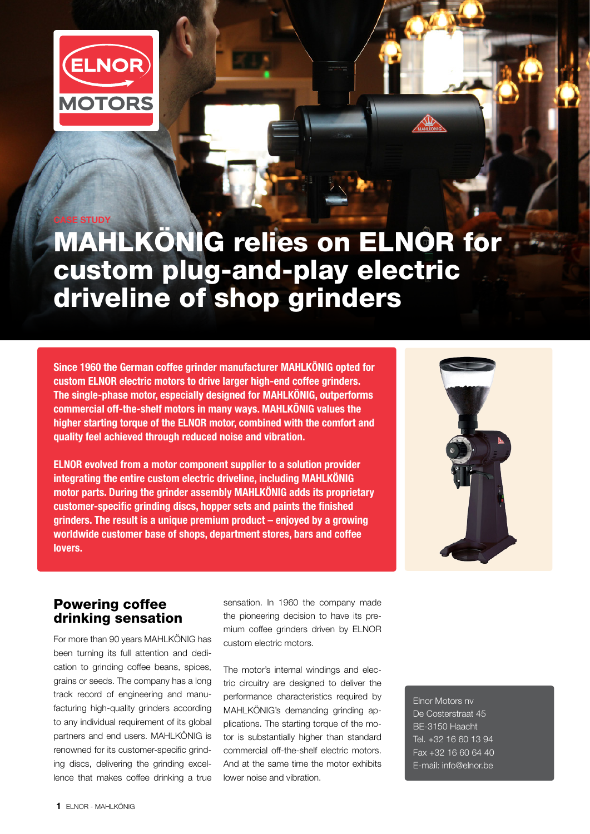

CASE STUDY

# MAHLKÖNIG relies on ELNOR for custom plug-and-play electric driveline of shop grinders

Since 1960 the German coffee grinder manufacturer MAHLKÖNIG opted for custom ELNOR electric motors to drive larger high-end coffee grinders. The single-phase motor, especially designed for MAHLKÖNIG, outperforms commercial off-the-shelf motors in many ways. MAHLKÖNIG values the higher starting torque of the ELNOR motor, combined with the comfort and quality feel achieved through reduced noise and vibration.

ELNOR evolved from a motor component supplier to a solution provider integrating the entire custom electric driveline, including MAHLKÖNIG motor parts. During the grinder assembly MAHLKÖNIG adds its proprietary customer-specific grinding discs, hopper sets and paints the finished grinders. The result is a unique premium product – enjoyed by a growing worldwide customer base of shops, department stores, bars and coffee lovers.



#### Powering coffee drinking sensation

For more than 90 years MAHLKÖNIG has been turning its full attention and dedication to grinding coffee beans, spices, grains or seeds. The company has a long track record of engineering and manufacturing high-quality grinders according to any individual requirement of its global partners and end users. MAHLKÖNIG is renowned for its customer-specific grinding discs, delivering the grinding excellence that makes coffee drinking a true

sensation. In 1960 the company made the pioneering decision to have its premium coffee grinders driven by ELNOR custom electric motors.

The motor's internal windings and electric circuitry are designed to deliver the performance characteristics required by MAHLKÖNIG's demanding grinding applications. The starting torque of the motor is substantially higher than standard commercial off-the-shelf electric motors. And at the same time the motor exhibits lower noise and vibration.

Elnor Motors nv De Costerstraat 45 BE-3150 Haacht Tel. +32 16 60 13 94 Fax +32 16 60 64 40 E-mail: info@elnor.be